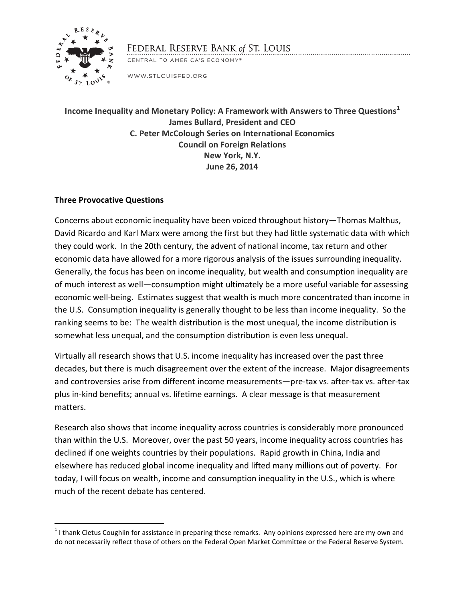

# FEDERAL RESERVE BANK of ST. LOUIS

CENTRAL TO AMERICA'S ECONOMY®

WWW.STLOUISFED.ORG

**Income Inequality and Monetary Policy: A Framework with Answers to Three Questions[1](#page-0-0) James Bullard, President and CEO C. Peter McColough Series on International Economics Council on Foreign Relations New York, N.Y. June 26, 2014**

# **Three Provocative Questions**

 $\overline{\phantom{a}}$ 

Concerns about economic inequality have been voiced throughout history—Thomas Malthus, David Ricardo and Karl Marx were among the first but they had little systematic data with which they could work. In the 20th century, the advent of national income, tax return and other economic data have allowed for a more rigorous analysis of the issues surrounding inequality. Generally, the focus has been on income inequality, but wealth and consumption inequality are of much interest as well—consumption might ultimately be a more useful variable for assessing economic well-being. Estimates suggest that wealth is much more concentrated than income in the U.S. Consumption inequality is generally thought to be less than income inequality. So the ranking seems to be: The wealth distribution is the most unequal, the income distribution is somewhat less unequal, and the consumption distribution is even less unequal.

Virtually all research shows that U.S. income inequality has increased over the past three decades, but there is much disagreement over the extent of the increase. Major disagreements and controversies arise from different income measurements—pre-tax vs. after-tax vs. after-tax plus in-kind benefits; annual vs. lifetime earnings. A clear message is that measurement matters.

Research also shows that income inequality across countries is considerably more pronounced than within the U.S. Moreover, over the past 50 years, income inequality across countries has declined if one weights countries by their populations. Rapid growth in China, India and elsewhere has reduced global income inequality and lifted many millions out of poverty. For today, I will focus on wealth, income and consumption inequality in the U.S., which is where much of the recent debate has centered.

<span id="page-0-0"></span> $1$ I thank Cletus Coughlin for assistance in preparing these remarks. Any opinions expressed here are my own and do not necessarily reflect those of others on the Federal Open Market Committee or the Federal Reserve System.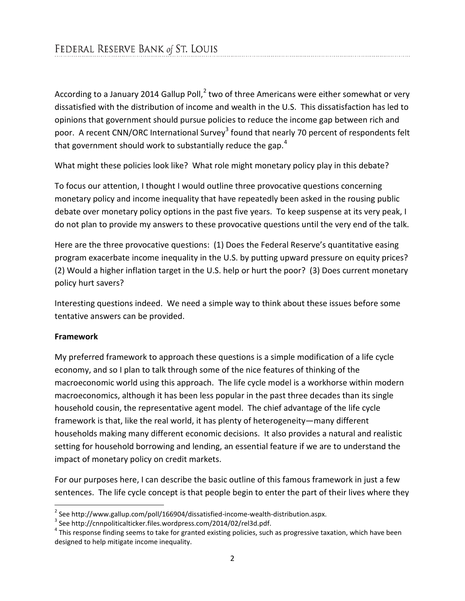According to a January [2](#page-1-0)014 Gallup Poll, $^2$  two of three Americans were either somewhat or very dissatisfied with the distribution of income and wealth in the U.S. This dissatisfaction has led to opinions that government should pursue policies to reduce the income gap between rich and poor. A recent CNN/ORC International Survey<sup>[3](#page-1-1)</sup> found that nearly 70 percent of respondents felt that government should work to substantially reduce the gap.<sup>[4](#page-1-2)</sup>

What might these policies look like? What role might monetary policy play in this debate?

To focus our attention, I thought I would outline three provocative questions concerning monetary policy and income inequality that have repeatedly been asked in the rousing public debate over monetary policy options in the past five years. To keep suspense at its very peak, I do not plan to provide my answers to these provocative questions until the very end of the talk.

Here are the three provocative questions: (1) Does the Federal Reserve's quantitative easing program exacerbate income inequality in the U.S. by putting upward pressure on equity prices? (2) Would a higher inflation target in the U.S. help or hurt the poor? (3) Does current monetary policy hurt savers?

Interesting questions indeed. We need a simple way to think about these issues before some tentative answers can be provided.

## **Framework**

 $\overline{\phantom{a}}$ 

My preferred framework to approach these questions is a simple modification of a life cycle economy, and so I plan to talk through some of the nice features of thinking of the macroeconomic world using this approach. The life cycle model is a workhorse within modern macroeconomics, although it has been less popular in the past three decades than its single household cousin, the representative agent model. The chief advantage of the life cycle framework is that, like the real world, it has plenty of heterogeneity—many different households making many different economic decisions. It also provides a natural and realistic setting for household borrowing and lending, an essential feature if we are to understand the impact of monetary policy on credit markets.

For our purposes here, I can describe the basic outline of this famous framework in just a few sentences. The life cycle concept is that people begin to enter the part of their lives where they

<span id="page-1-2"></span><span id="page-1-1"></span>

<span id="page-1-0"></span><sup>&</sup>lt;sup>2</sup> See http://www.gallup.com/poll/166904/dissatisfied-income-wealth-distribution.aspx.<br><sup>3</sup> See http://cnnpoliticalticker.files.wordpress.com/2014/02/rel3d.pdf.<br><sup>4</sup> This response finding seems to take for granted existing designed to help mitigate income inequality.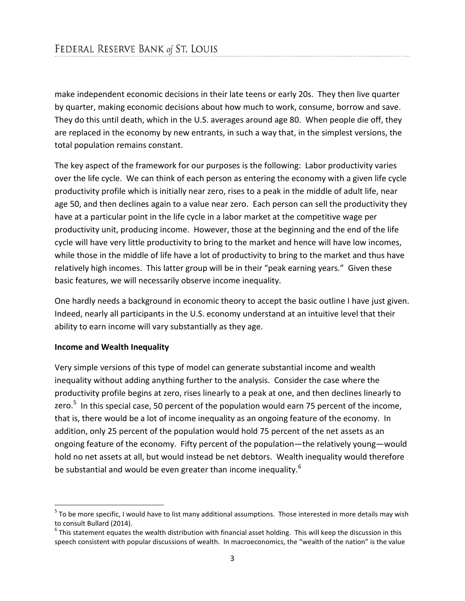make independent economic decisions in their late teens or early 20s. They then live quarter by quarter, making economic decisions about how much to work, consume, borrow and save. They do this until death, which in the U.S. averages around age 80. When people die off, they are replaced in the economy by new entrants, in such a way that, in the simplest versions, the total population remains constant.

The key aspect of the framework for our purposes is the following: Labor productivity varies over the life cycle. We can think of each person as entering the economy with a given life cycle productivity profile which is initially near zero, rises to a peak in the middle of adult life, near age 50, and then declines again to a value near zero. Each person can sell the productivity they have at a particular point in the life cycle in a labor market at the competitive wage per productivity unit, producing income. However, those at the beginning and the end of the life cycle will have very little productivity to bring to the market and hence will have low incomes, while those in the middle of life have a lot of productivity to bring to the market and thus have relatively high incomes. This latter group will be in their "peak earning years." Given these basic features, we will necessarily observe income inequality.

One hardly needs a background in economic theory to accept the basic outline I have just given. Indeed, nearly all participants in the U.S. economy understand at an intuitive level that their ability to earn income will vary substantially as they age.

## **Income and Wealth Inequality**

 $\overline{\phantom{a}}$ 

Very simple versions of this type of model can generate substantial income and wealth inequality without adding anything further to the analysis. Consider the case where the productivity profile begins at zero, rises linearly to a peak at one, and then declines linearly to zero.<sup>[5](#page-2-0)</sup> In this special case, 50 percent of the population would earn 75 percent of the income, that is, there would be a lot of income inequality as an ongoing feature of the economy. In addition, only 25 percent of the population would hold 75 percent of the net assets as an ongoing feature of the economy. Fifty percent of the population—the relatively young—would hold no net assets at all, but would instead be net debtors. Wealth inequality would therefore be substantial and would be even greater than income inequality.<sup>[6](#page-2-1)</sup>

<span id="page-2-0"></span> $5$  To be more specific, I would have to list many additional assumptions. Those interested in more details may wish to consult Bullard (2014).

<span id="page-2-1"></span> $6$  This statement equates the wealth distribution with financial asset holding. This will keep the discussion in this speech consistent with popular discussions of wealth. In macroeconomics, the "wealth of the nation" is the value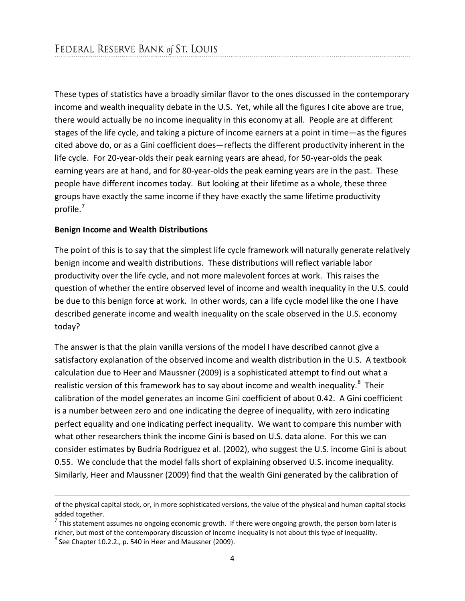These types of statistics have a broadly similar flavor to the ones discussed in the contemporary income and wealth inequality debate in the U.S. Yet, while all the figures I cite above are true, there would actually be no income inequality in this economy at all. People are at different stages of the life cycle, and taking a picture of income earners at a point in time—as the figures cited above do, or as a Gini coefficient does—reflects the different productivity inherent in the life cycle. For 20-year-olds their peak earning years are ahead, for 50-year-olds the peak earning years are at hand, and for 80-year-olds the peak earning years are in the past. These people have different incomes today. But looking at their lifetime as a whole, these three groups have exactly the same income if they have exactly the same lifetime productivity profile.<sup>[7](#page-3-0)</sup>

#### **Benign Income and Wealth Distributions**

The point of this is to say that the simplest life cycle framework will naturally generate relatively benign income and wealth distributions. These distributions will reflect variable labor productivity over the life cycle, and not more malevolent forces at work. This raises the question of whether the entire observed level of income and wealth inequality in the U.S. could be due to this benign force at work. In other words, can a life cycle model like the one I have described generate income and wealth inequality on the scale observed in the U.S. economy today?

The answer is that the plain vanilla versions of the model I have described cannot give a satisfactory explanation of the observed income and wealth distribution in the U.S. A textbook calculation due to Heer and Maussner (2009) is a sophisticated attempt to find out what a realistic version of this framework has to say about income and wealth inequality.<sup>[8](#page-3-1)</sup> Their calibration of the model generates an income Gini coefficient of about 0.42. A Gini coefficient is a number between zero and one indicating the degree of inequality, with zero indicating perfect equality and one indicating perfect inequality. We want to compare this number with what other researchers think the income Gini is based on U.S. data alone. For this we can consider estimates by Budría Rodríguez et al. (2002), who suggest the U.S. income Gini is about 0.55. We conclude that the model falls short of explaining observed U.S. income inequality. Similarly, Heer and Maussner (2009) find that the wealth Gini generated by the calibration of

 $\overline{\phantom{a}}$ 

of the physical capital stock, or, in more sophisticated versions, the value of the physical and human capital stocks added together.

<span id="page-3-0"></span> $<sup>7</sup>$  This statement assumes no ongoing economic growth. If there were ongoing growth, the person born later is</sup> richer, but most of the contemporary discussion of income inequality is not about this type of inequality.<br><sup>8</sup> See Chapter 10.2.2., p. 540 in Heer and Maussner (2009).

<span id="page-3-1"></span>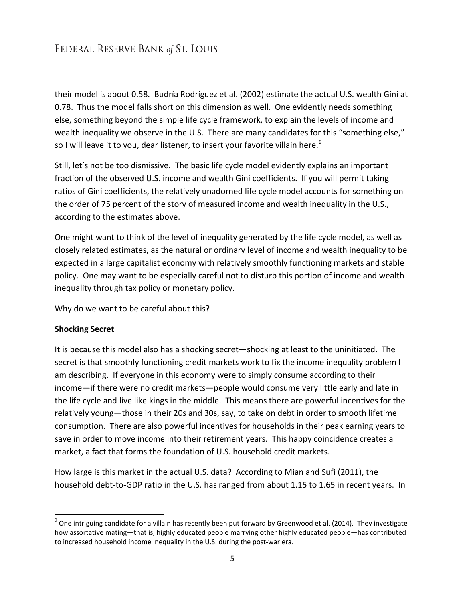their model is about 0.58. Budría Rodríguez et al. (2002) estimate the actual U.S. wealth Gini at 0.78. Thus the model falls short on this dimension as well. One evidently needs something else, something beyond the simple life cycle framework, to explain the levels of income and wealth inequality we observe in the U.S. There are many candidates for this "something else," so I will leave it to you, dear listener, to insert your favorite villain here.<sup>[9](#page-4-0)</sup>

Still, let's not be too dismissive. The basic life cycle model evidently explains an important fraction of the observed U.S. income and wealth Gini coefficients. If you will permit taking ratios of Gini coefficients, the relatively unadorned life cycle model accounts for something on the order of 75 percent of the story of measured income and wealth inequality in the U.S., according to the estimates above.

One might want to think of the level of inequality generated by the life cycle model, as well as closely related estimates, as the natural or ordinary level of income and wealth inequality to be expected in a large capitalist economy with relatively smoothly functioning markets and stable policy. One may want to be especially careful not to disturb this portion of income and wealth inequality through tax policy or monetary policy.

Why do we want to be careful about this?

## **Shocking Secret**

l

It is because this model also has a shocking secret—shocking at least to the uninitiated. The secret is that smoothly functioning credit markets work to fix the income inequality problem I am describing. If everyone in this economy were to simply consume according to their income—if there were no credit markets—people would consume very little early and late in the life cycle and live like kings in the middle. This means there are powerful incentives for the relatively young—those in their 20s and 30s, say, to take on debt in order to smooth lifetime consumption. There are also powerful incentives for households in their peak earning years to save in order to move income into their retirement years. This happy coincidence creates a market, a fact that forms the foundation of U.S. household credit markets.

How large is this market in the actual U.S. data? According to Mian and Sufi (2011), the household debt-to-GDP ratio in the U.S. has ranged from about 1.15 to 1.65 in recent years. In

<span id="page-4-0"></span> $9$  One intriguing candidate for a villain has recently been put forward by Greenwood et al. (2014). They investigate how assortative mating—that is, highly educated people marrying other highly educated people—has contributed to increased household income inequality in the U.S. during the post-war era.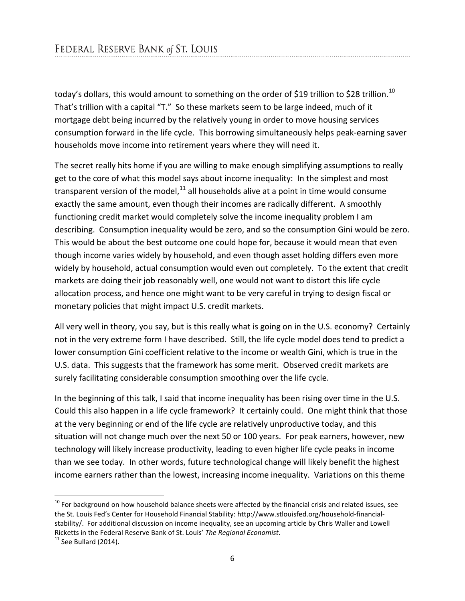today's dollars, this would amount to something on the order of \$19 trillion to \$28 trillion.<sup>[10](#page-5-0)</sup> That's trillion with a capital "T." So these markets seem to be large indeed, much of it mortgage debt being incurred by the relatively young in order to move housing services consumption forward in the life cycle. This borrowing simultaneously helps peak-earning saver households move income into retirement years where they will need it.

The secret really hits home if you are willing to make enough simplifying assumptions to really get to the core of what this model says about income inequality: In the simplest and most transparent version of the model, $^{11}$  $^{11}$  $^{11}$  all households alive at a point in time would consume exactly the same amount, even though their incomes are radically different. A smoothly functioning credit market would completely solve the income inequality problem I am describing. Consumption inequality would be zero, and so the consumption Gini would be zero. This would be about the best outcome one could hope for, because it would mean that even though income varies widely by household, and even though asset holding differs even more widely by household, actual consumption would even out completely. To the extent that credit markets are doing their job reasonably well, one would not want to distort this life cycle allocation process, and hence one might want to be very careful in trying to design fiscal or monetary policies that might impact U.S. credit markets.

All very well in theory, you say, but is this really what is going on in the U.S. economy? Certainly not in the very extreme form I have described. Still, the life cycle model does tend to predict a lower consumption Gini coefficient relative to the income or wealth Gini, which is true in the U.S. data. This suggests that the framework has some merit. Observed credit markets are surely facilitating considerable consumption smoothing over the life cycle.

In the beginning of this talk, I said that income inequality has been rising over time in the U.S. Could this also happen in a life cycle framework? It certainly could. One might think that those at the very beginning or end of the life cycle are relatively unproductive today, and this situation will not change much over the next 50 or 100 years. For peak earners, however, new technology will likely increase productivity, leading to even higher life cycle peaks in income than we see today. In other words, future technological change will likely benefit the highest income earners rather than the lowest, increasing income inequality. Variations on this theme

 $\overline{\phantom{a}}$ 

<span id="page-5-0"></span> $10$  For background on how household balance sheets were affected by the financial crisis and related issues, see the St. Louis Fed's Center for Household Financial Stability: http://www.stlouisfed.org/household-financialstability/. For additional discussion on income inequality, see an upcoming article by Chris Waller and Lowell Ricketts in the Federal Reserve Bank of St. Louis' *The Regional Economist*.<br><sup>11</sup> See Bullard (2014).

<span id="page-5-1"></span>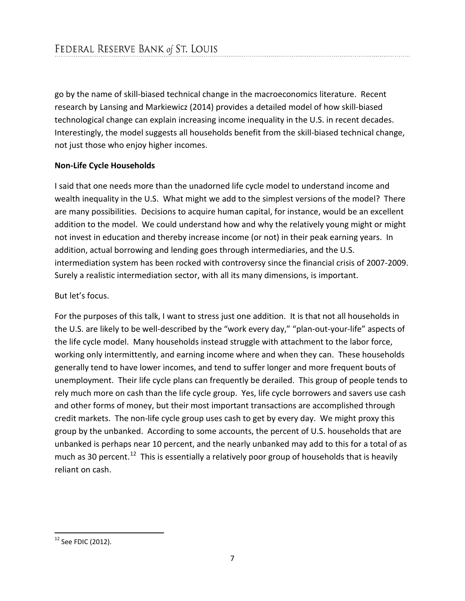go by the name of skill-biased technical change in the macroeconomics literature. Recent research by Lansing and Markiewicz (2014) provides a detailed model of how skill-biased technological change can explain increasing income inequality in the U.S. in recent decades. Interestingly, the model suggests all households benefit from the skill-biased technical change, not just those who enjoy higher incomes.

## **Non-Life Cycle Households**

I said that one needs more than the unadorned life cycle model to understand income and wealth inequality in the U.S. What might we add to the simplest versions of the model? There are many possibilities. Decisions to acquire human capital, for instance, would be an excellent addition to the model. We could understand how and why the relatively young might or might not invest in education and thereby increase income (or not) in their peak earning years. In addition, actual borrowing and lending goes through intermediaries, and the U.S. intermediation system has been rocked with controversy since the financial crisis of 2007-2009. Surely a realistic intermediation sector, with all its many dimensions, is important.

## But let's focus.

For the purposes of this talk, I want to stress just one addition. It is that not all households in the U.S. are likely to be well-described by the "work every day," "plan-out-your-life" aspects of the life cycle model. Many households instead struggle with attachment to the labor force, working only intermittently, and earning income where and when they can. These households generally tend to have lower incomes, and tend to suffer longer and more frequent bouts of unemployment. Their life cycle plans can frequently be derailed. This group of people tends to rely much more on cash than the life cycle group. Yes, life cycle borrowers and savers use cash and other forms of money, but their most important transactions are accomplished through credit markets. The non-life cycle group uses cash to get by every day. We might proxy this group by the unbanked. According to some accounts, the percent of U.S. households that are unbanked is perhaps near 10 percent, and the nearly unbanked may add to this for a total of as much as 30 percent.<sup>12</sup> This is essentially a relatively poor group of households that is heavily reliant on cash.

l

<span id="page-6-0"></span> $12$  See FDIC (2012).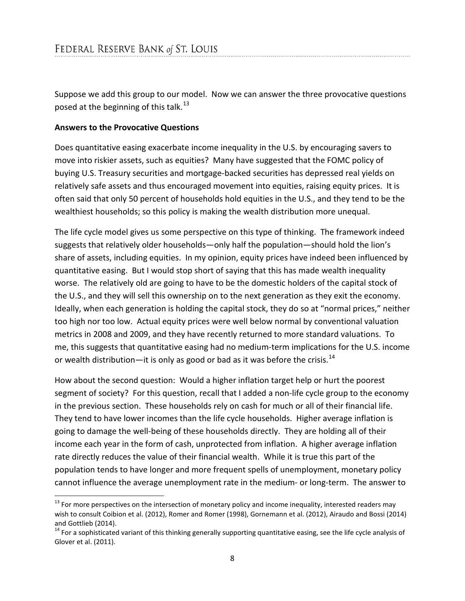Suppose we add this group to our model. Now we can answer the three provocative questions posed at the beginning of this talk.<sup>[13](#page-7-0)</sup>

#### **Answers to the Provocative Questions**

 $\overline{\phantom{a}}$ 

Does quantitative easing exacerbate income inequality in the U.S. by encouraging savers to move into riskier assets, such as equities? Many have suggested that the FOMC policy of buying U.S. Treasury securities and mortgage-backed securities has depressed real yields on relatively safe assets and thus encouraged movement into equities, raising equity prices. It is often said that only 50 percent of households hold equities in the U.S., and they tend to be the wealthiest households; so this policy is making the wealth distribution more unequal.

The life cycle model gives us some perspective on this type of thinking. The framework indeed suggests that relatively older households—only half the population—should hold the lion's share of assets, including equities. In my opinion, equity prices have indeed been influenced by quantitative easing. But I would stop short of saying that this has made wealth inequality worse. The relatively old are going to have to be the domestic holders of the capital stock of the U.S., and they will sell this ownership on to the next generation as they exit the economy. Ideally, when each generation is holding the capital stock, they do so at "normal prices," neither too high nor too low. Actual equity prices were well below normal by conventional valuation metrics in 2008 and 2009, and they have recently returned to more standard valuations. To me, this suggests that quantitative easing had no medium-term implications for the U.S. income or wealth distribution—it is only as good or bad as it was before the crisis.<sup>[14](#page-7-1)</sup>

How about the second question: Would a higher inflation target help or hurt the poorest segment of society? For this question, recall that I added a non-life cycle group to the economy in the previous section. These households rely on cash for much or all of their financial life. They tend to have lower incomes than the life cycle households. Higher average inflation is going to damage the well-being of these households directly. They are holding all of their income each year in the form of cash, unprotected from inflation. A higher average inflation rate directly reduces the value of their financial wealth. While it is true this part of the population tends to have longer and more frequent spells of unemployment, monetary policy cannot influence the average unemployment rate in the medium- or long-term. The answer to

<span id="page-7-0"></span> $13$  For more perspectives on the intersection of monetary policy and income inequality, interested readers may wish to consult Coibion et al. (2012), Romer and Romer (1998), Gornemann et al. (2012), Airaudo and Bossi (2014) and Gottlieb (2014).

<span id="page-7-1"></span> $14$  For a sophisticated variant of this thinking generally supporting quantitative easing, see the life cycle analysis of Glover et al. (2011).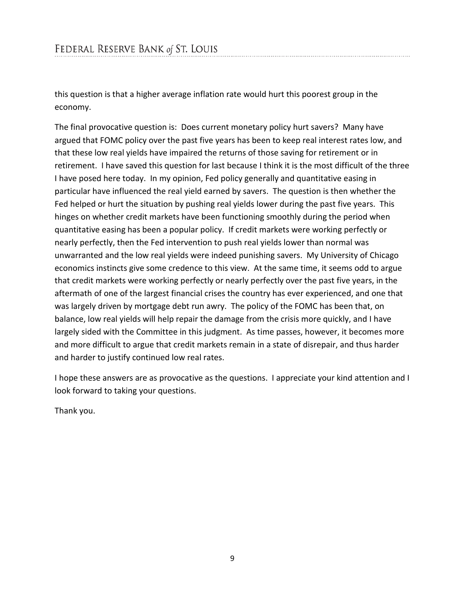this question is that a higher average inflation rate would hurt this poorest group in the economy.

The final provocative question is: Does current monetary policy hurt savers? Many have argued that FOMC policy over the past five years has been to keep real interest rates low, and that these low real yields have impaired the returns of those saving for retirement or in retirement. I have saved this question for last because I think it is the most difficult of the three I have posed here today. In my opinion, Fed policy generally and quantitative easing in particular have influenced the real yield earned by savers. The question is then whether the Fed helped or hurt the situation by pushing real yields lower during the past five years. This hinges on whether credit markets have been functioning smoothly during the period when quantitative easing has been a popular policy. If credit markets were working perfectly or nearly perfectly, then the Fed intervention to push real yields lower than normal was unwarranted and the low real yields were indeed punishing savers. My University of Chicago economics instincts give some credence to this view. At the same time, it seems odd to argue that credit markets were working perfectly or nearly perfectly over the past five years, in the aftermath of one of the largest financial crises the country has ever experienced, and one that was largely driven by mortgage debt run awry. The policy of the FOMC has been that, on balance, low real yields will help repair the damage from the crisis more quickly, and I have largely sided with the Committee in this judgment. As time passes, however, it becomes more and more difficult to argue that credit markets remain in a state of disrepair, and thus harder and harder to justify continued low real rates.

I hope these answers are as provocative as the questions. I appreciate your kind attention and I look forward to taking your questions.

Thank you.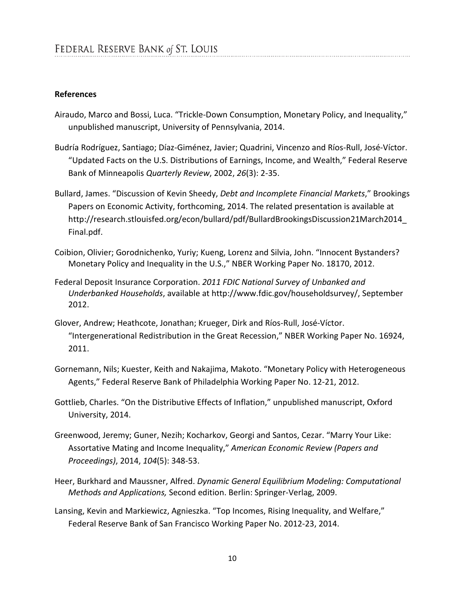#### **References**

- Airaudo, Marco and Bossi, Luca. "Trickle-Down Consumption, Monetary Policy, and Inequality," unpublished manuscript, University of Pennsylvania, 2014.
- Budría Rodríguez, Santiago; Díaz-Giménez, Javier; Quadrini, Vincenzo and Ríos-Rull, José-Víctor. "Updated Facts on the U.S. Distributions of Earnings, Income, and Wealth," Federal Reserve Bank of Minneapolis *Quarterly Review*, 2002, *26*(3): 2-35.
- Bullard, James. "Discussion of Kevin Sheedy, *Debt and Incomplete Financial Markets*," Brookings Papers on Economic Activity, forthcoming, 2014. The related presentation is available at http://research.stlouisfed.org/econ/bullard/pdf/BullardBrookingsDiscussion21March2014\_ Final.pdf.
- [Coibion,](http://www.nber.org/people/olivier_coibion) Olivier; [Gorodnichenko,](http://www.nber.org/people/yuriy_gorodnichenko) Yuriy; [Kueng,](http://www.nber.org/people/lorenz_kueng) Lorenz and Silvia, [John.](http://www.nber.org/people/john_silvia) "Innocent Bystanders? Monetary Policy and Inequality in the U.S.," NBER Working Paper No. 18170, 2012.
- Federal Deposit Insurance Corporation. *2011 FDIC National Survey of Unbanked and Underbanked Households*, available at http://www.fdic.gov/householdsurvey/, September 2012.
- Glover, Andrew; Heathcote, Jonathan; Krueger, Dirk and [Ríos-Rull,](http://www.nber.org/people/jose-victor_rios-rull) José-Víctor. "Intergenerational Redistribution in the Great Recession," NBER Working Paper No. 16924, 2011.
- Gornemann, Nils; Kuester, Keith and Nakajima, Makoto. "Monetary Policy with Heterogeneous Agents," Federal Reserve Bank of Philadelphia Working Paper No. 12-21, 2012.
- Gottlieb, Charles. "On the Distributive Effects of Inflation," unpublished manuscript, Oxford University, 2014.
- Greenwood, Jeremy; Guner, Nezih; Kocharkov, Georgi and Santos, Cezar. "Marry Your Like: Assortative Mating and Income Inequality," *American Economic Review (Papers and Proceedings)*, 2014, *104*(5): 348-53.
- Heer, Burkhard and Maussner, Alfred. *Dynamic General Equilibrium Modeling: Computational Methods and Applications,* Second edition. Berlin: Springer-Verlag, 2009.
- Lansing, Kevin and Markiewicz, Agnieszka. "Top Incomes, Rising Inequality, and Welfare," Federal Reserve Bank of San Francisco Working Paper No. 2012-23, 2014.